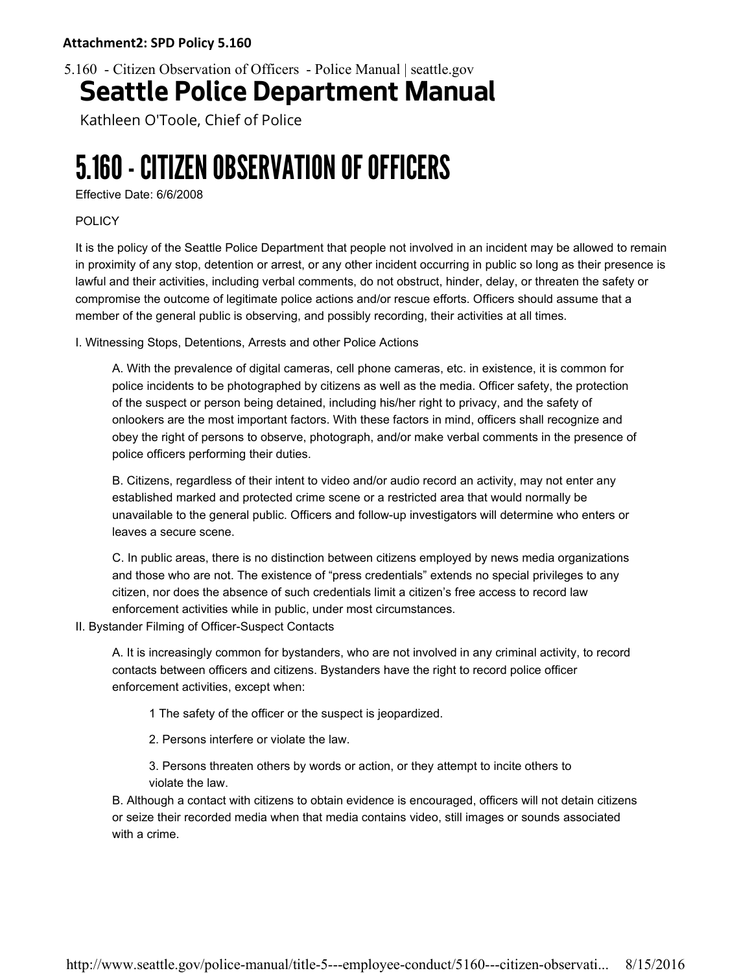5.160 - Citizen Observation of Officers - Police Manual | seattle.gov

## Seattle Police Department Manual

Kathleen O'Toole, Chief of Police

## 5.160 - CITIZEN OBSERVATION OF OFFICERS

Effective Date: 6/6/2008

## POLICY

It is the policy of the Seattle Police Department that people not involved in an incident may be allowed to remain in proximity of any stop, detention or arrest, or any other incident occurring in public so long as their presence is lawful and their activities, including verbal comments, do not obstruct, hinder, delay, or threaten the safety or compromise the outcome of legitimate police actions and/or rescue efforts. Officers should assume that a member of the general public is observing, and possibly recording, their activities at all times.

I. Witnessing Stops, Detentions, Arrests and other Police Actions

A. With the prevalence of digital cameras, cell phone cameras, etc. in existence, it is common for police incidents to be photographed by citizens as well as the media. Officer safety, the protection of the suspect or person being detained, including his/her right to privacy, and the safety of onlookers are the most important factors. With these factors in mind, officers shall recognize and obey the right of persons to observe, photograph, and/or make verbal comments in the presence of police officers performing their duties.

B. Citizens, regardless of their intent to video and/or audio record an activity, may not enter any established marked and protected crime scene or a restricted area that would normally be unavailable to the general public. Officers and follow-up investigators will determine who enters or leaves a secure scene.

C. In public areas, there is no distinction between citizens employed by news media organizations and those who are not. The existence of "press credentials" extends no special privileges to any citizen, nor does the absence of such credentials limit a citizen's free access to record law enforcement activities while in public, under most circumstances.

II. Bystander Filming of Officer-Suspect Contacts

A. It is increasingly common for bystanders, who are not involved in any criminal activity, to record contacts between officers and citizens. Bystanders have the right to record police officer enforcement activities, except when:

1 The safety of the officer or the suspect is jeopardized.

- 2. Persons interfere or violate the law.
- 3. Persons threaten others by words or action, or they attempt to incite others to violate the law.

B. Although a contact with citizens to obtain evidence is encouraged, officers will not detain citizens or seize their recorded media when that media contains video, still images or sounds associated with a crime.